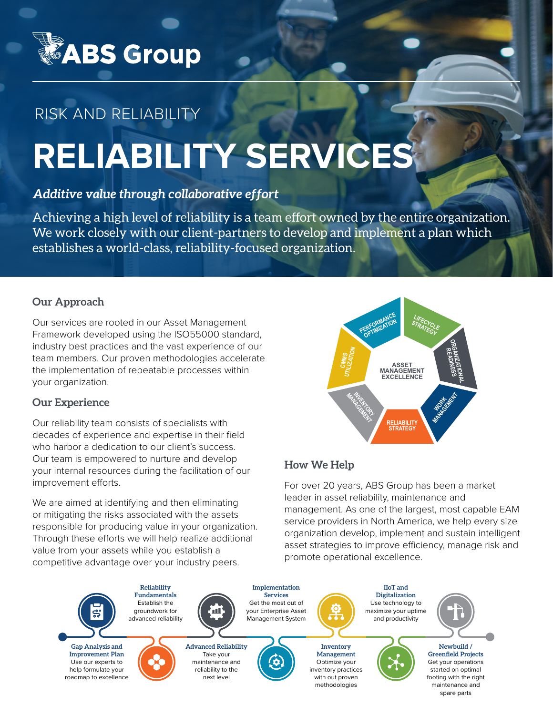

# RISK AND RELIABILITY

# **RELIABILITY SERVICES**

# *Additive value through collaborative effort*

Achieving a high level of reliability is a team effort owned by the entire organization. We work closely with our client-partners to develop and implement a plan which establishes a world-class, reliability-focused organization.

# **Our Approach**

Our services are rooted in our Asset Management Framework developed using the ISO55000 standard, industry best practices and the vast experience of our team members. Our proven methodologies accelerate the implementation of repeatable processes within your organization.

# **Our Experience**

Our reliability team consists of specialists with decades of experience and expertise in their field who harbor a dedication to our client's success. Our team is empowered to nurture and develop your internal resources during the facilitation of our improvement efforts.

We are aimed at identifying and then eliminating or mitigating the risks associated with the assets responsible for producing value in your organization. Through these efforts we will help realize additional value from your assets while you establish a competitive advantage over your industry peers.

# **How We Help**

**CMMS UTILIZATION** 

> **MANAGEMENT INENTORY**<br>ACCUPA

**PERFORMANCE** 

For over 20 years, ABS Group has been a market leader in asset reliability, maintenance and management. As one of the largest, most capable EAM service providers in North America, we help every size organization develop, implement and sustain intelligent asset strategies to improve efficiency, manage risk and promote operational excellence.

**RELIABILITY STRATEGY**

ERFORMANGE STRATEGY

**ASSET MANAGEMENT EXCELLENCE**

STRATEGY

**ORGANIZATIONAL READINESS**

**WORK MANAGEMENT**